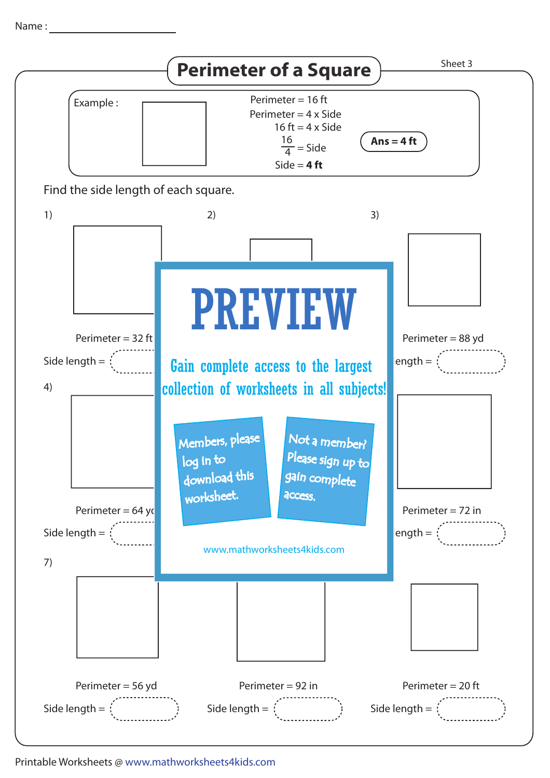